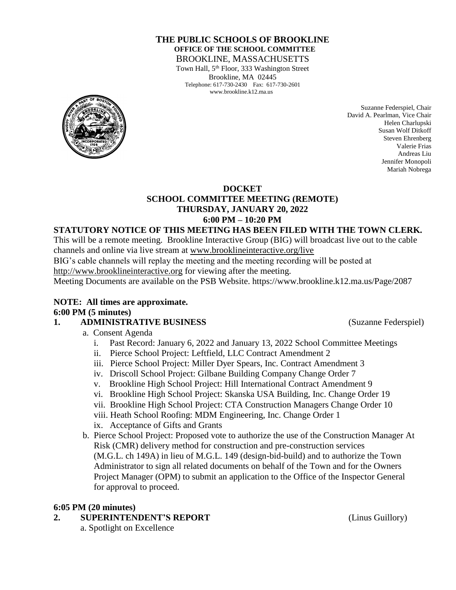#### **THE PUBLIC SCHOOLS OF BROOKLINE OFFICE OF THE SCHOOL COMMITTEE** BROOKLINE, MASSACHUSETTS

Town Hall, 5<sup>th</sup> Floor, 333 Washington Street Brookline, MA 02445 Telephone: 617-730-2430 Fax: 617-730-2601 www.brookline.k12.ma.us



Suzanne Federspiel, Chair David A. Pearlman, Vice Chair Helen Charlupski Susan Wolf Ditkoff Steven Ehrenberg Valerie Frias Andreas Liu Jennifer Monopoli Mariah Nobrega

#### **DOCKET**

## **SCHOOL COMMITTEE MEETING (REMOTE) THURSDAY, JANUARY 20, 2022 6:00 PM – 10:20 PM**

#### **STATUTORY NOTICE OF THIS MEETING HAS BEEN FILED WITH THE TOWN CLERK.**

This will be a remote meeting. Brookline Interactive Group (BIG) will broadcast live out to the cable channels and online via live stream at [www.brooklineinteractive.org/live](https://protect-us.mimecast.com/s/nSb0CG6Q8xuLqW1DHYBFG-?domain=brooklineinteractive.org)

BIG's cable channels will replay the meeting and the meeting recording will be posted at

[http://www.brooklineinteractive.org](https://protect-us.mimecast.com/s/ziZBCER6xvc6nngoFwrIh2?domain=brooklineinteractive.org) for viewing after the meeting.

Meeting Documents are available on the PSB Website. https://www.brookline.k12.ma.us/Page/2087

## **NOTE: All times are approximate. 6:00 PM (5 minutes)**

## **1. ADMINISTRATIVE BUSINESS** (Suzanne Federspiel)

- a. Consent Agenda
	- i. Past Record: January 6, 2022 and January 13, 2022 School Committee Meetings
	- ii. Pierce School Project: Leftfield, LLC Contract Amendment 2
	- iii. Pierce School Project: Miller Dyer Spears, Inc. Contract Amendment 3
	- iv. Driscoll School Project: Gilbane Building Company Change Order 7
	- v. Brookline High School Project: Hill International Contract Amendment 9
	- vi. Brookline High School Project: Skanska USA Building, Inc. Change Order 19
	- vii. Brookline High School Project: CTA Construction Managers Change Order 10
	- viii. Heath School Roofing: MDM Engineering, Inc. Change Order 1
	- ix. Acceptance of Gifts and Grants
- b. Pierce School Project: Proposed vote to authorize the use of the Construction Manager At Risk (CMR) delivery method for construction and pre-construction services (M.G.L. ch 149A) in lieu of M.G.L. 149 (design-bid-build) and to authorize the Town Administrator to sign all related documents on behalf of the Town and for the Owners Project Manager (OPM) to submit an application to the Office of the Inspector General for approval to proceed.

#### **6:05 PM (20 minutes)**

#### **2. SUPERINTENDENT'S REPORT** (Linus Guillory)

a. Spotlight on Excellence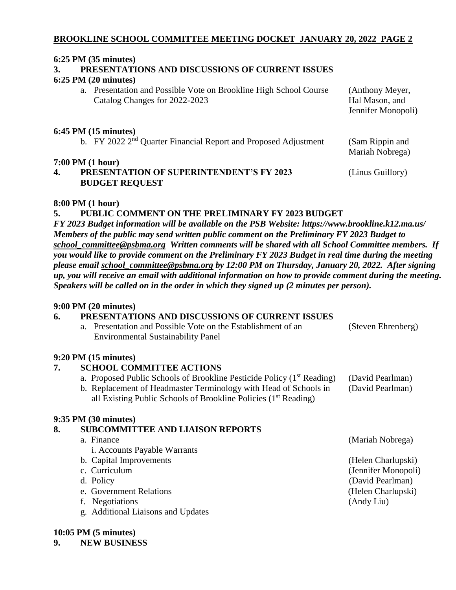# **BROOKLINE SCHOOL COMMITTEE MEETING DOCKET JANUARY 20, 2022 PAGE 2**

#### **6:25 PM (35 minutes)**

# **3. PRESENTATIONS AND DISCUSSIONS OF CURRENT ISSUES**

#### **6:25 PM (20 minutes)**

a. Presentation and Possible Vote on Brookline High School Course (Anthony Meyer, Catalog Changes for 2022-2023 Hal Mason, and Jennifer Monopoli)

#### **6:45 PM (15 minutes)**

b. FY 2022 2<sup>nd</sup> Quarter Financial Report and Proposed Adjustment (Sam Rippin and

#### **7:00 PM (1 hour)**

| 1.00111111111101111                             |                  |
|-------------------------------------------------|------------------|
| <b>PRESENTATION OF SUPERINTENDENT'S FY 2023</b> | (Linus Guillory) |
| <b>BUDGET REQUEST</b>                           |                  |

Mariah Nobrega)

#### **8:00 PM (1 hour)**

#### **5. PUBLIC COMMENT ON THE PRELIMINARY FY 2023 BUDGET**

*FY 2023 Budget information will be available on the PSB Website: https://www.brookline.k12.ma.us/ Members of the public may send written public comment on the Preliminary FY 2023 Budget to [school\\_committee@psbma.org](mailto:school_committee@psbma.org) Written comments will be shared with all School Committee members. If you would like to provide comment on the Preliminary FY 2023 Budget in real time during the meeting please email [school\\_committee@psbma.org](mailto:school_committee@psbma.org) by 12:00 PM on Thursday, January 20, 2022. After signing up, you will receive an email with additional information on how to provide comment during the meeting. Speakers will be called on in the order in which they signed up (2 minutes per person).*

## **9:00 PM (20 minutes)**

## **6. PRESENTATIONS AND DISCUSSIONS OF CURRENT ISSUES**

| a. Presentation and Possible Vote on the Establishment of an | (Steven Ehrenberg) |
|--------------------------------------------------------------|--------------------|
| <b>Environmental Sustainability Panel</b>                    |                    |
|                                                              |                    |
| $9:20 \text{ PM } (15 \text{ minutes})$                      |                    |
| <b>SCHOOL COMMITTEE ACTIONS</b>                              |                    |

- a. Proposed Public Schools of Brookline Pesticide Policy  $(1<sup>st</sup> Reading)$  (David Pearlman) b. Replacement of Headmaster Terminology with Head of Schools in (David Pearlman)
	- all Existing Public Schools of Brookline Policies  $(1<sup>st</sup> Reading)$

## **9:35 PM (30 minutes)**

# **8. SUBCOMMITTEE AND LIAISON REPORTS**

a. Finance (Mariah Nobrega) i. Accounts Payable Warrants b. Capital Improvements (Helen Charlupski) c. Curriculum (Jennifer Monopoli) d. Policy (David Pearlman) e. Government Relations (Helen Charlupski) f. Negotiations (Andy Liu) g. Additional Liaisons and Updates

## **10:05 PM (5 minutes)**

**9. NEW BUSINESS**